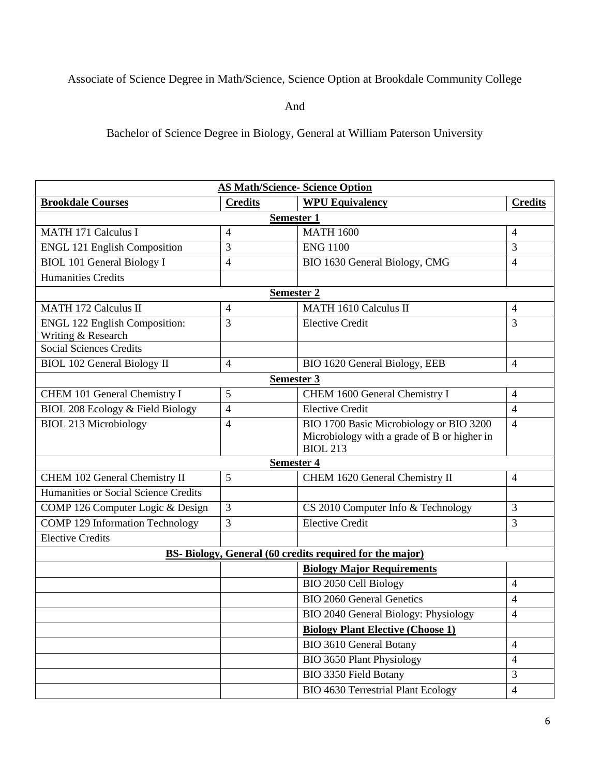## Associate of Science Degree in Math/Science, Science Option at Brookdale Community College

And

Bachelor of Science Degree in Biology, General at William Paterson University

| <b>AS Math/Science- Science Option</b>                          |                   |                                                                                                           |                |  |
|-----------------------------------------------------------------|-------------------|-----------------------------------------------------------------------------------------------------------|----------------|--|
| <b>Brookdale Courses</b>                                        | <b>Credits</b>    | <b>WPU Equivalency</b>                                                                                    | <b>Credits</b> |  |
| <b>Semester 1</b>                                               |                   |                                                                                                           |                |  |
| <b>MATH 171 Calculus I</b>                                      | $\overline{4}$    | <b>MATH 1600</b>                                                                                          | 4              |  |
| <b>ENGL 121 English Composition</b>                             | 3                 | <b>ENG 1100</b>                                                                                           | 3              |  |
| <b>BIOL 101 General Biology I</b>                               | 4                 | BIO 1630 General Biology, CMG                                                                             | 4              |  |
| <b>Humanities Credits</b>                                       |                   |                                                                                                           |                |  |
| Semester 2                                                      |                   |                                                                                                           |                |  |
| <b>MATH 172 Calculus II</b>                                     | $\overline{4}$    | <b>MATH 1610 Calculus II</b>                                                                              | 4              |  |
| <b>ENGL 122 English Composition:</b>                            | 3                 | <b>Elective Credit</b>                                                                                    | 3              |  |
| Writing & Research<br><b>Social Sciences Credits</b>            |                   |                                                                                                           |                |  |
| <b>BIOL 102 General Biology II</b>                              | $\overline{4}$    | BIO 1620 General Biology, EEB                                                                             | $\overline{4}$ |  |
|                                                                 | <b>Semester 3</b> |                                                                                                           |                |  |
| CHEM 101 General Chemistry I                                    | 5                 | CHEM 1600 General Chemistry I                                                                             | $\overline{4}$ |  |
|                                                                 | $\overline{4}$    | <b>Elective Credit</b>                                                                                    | $\overline{4}$ |  |
| BIOL 208 Ecology & Field Biology                                |                   |                                                                                                           |                |  |
| <b>BIOL 213 Microbiology</b>                                    | $\overline{4}$    | BIO 1700 Basic Microbiology or BIO 3200<br>Microbiology with a grade of B or higher in<br><b>BIOL 213</b> | $\overline{4}$ |  |
| <b>Semester 4</b>                                               |                   |                                                                                                           |                |  |
| CHEM 102 General Chemistry II                                   | 5                 | CHEM 1620 General Chemistry II                                                                            | 4              |  |
| Humanities or Social Science Credits                            |                   |                                                                                                           |                |  |
| COMP 126 Computer Logic & Design                                | 3                 | CS 2010 Computer Info & Technology                                                                        | 3              |  |
| <b>COMP 129 Information Technology</b>                          | 3                 | <b>Elective Credit</b>                                                                                    | 3              |  |
| <b>Elective Credits</b>                                         |                   |                                                                                                           |                |  |
| <b>BS-</b> Biology, General (60 credits required for the major) |                   |                                                                                                           |                |  |
|                                                                 |                   | <b>Biology Major Requirements</b>                                                                         |                |  |
|                                                                 |                   | BIO 2050 Cell Biology                                                                                     | 4              |  |
|                                                                 |                   | <b>BIO 2060 General Genetics</b>                                                                          | 4              |  |
|                                                                 |                   | BIO 2040 General Biology: Physiology                                                                      | 4              |  |
|                                                                 |                   | <b>Biology Plant Elective (Choose 1)</b>                                                                  |                |  |
|                                                                 |                   | <b>BIO 3610 General Botany</b>                                                                            | $\overline{4}$ |  |
|                                                                 |                   | <b>BIO 3650 Plant Physiology</b>                                                                          | $\overline{4}$ |  |
|                                                                 |                   | BIO 3350 Field Botany                                                                                     | $\mathfrak{Z}$ |  |
|                                                                 |                   | <b>BIO 4630 Terrestrial Plant Ecology</b>                                                                 | $\overline{4}$ |  |